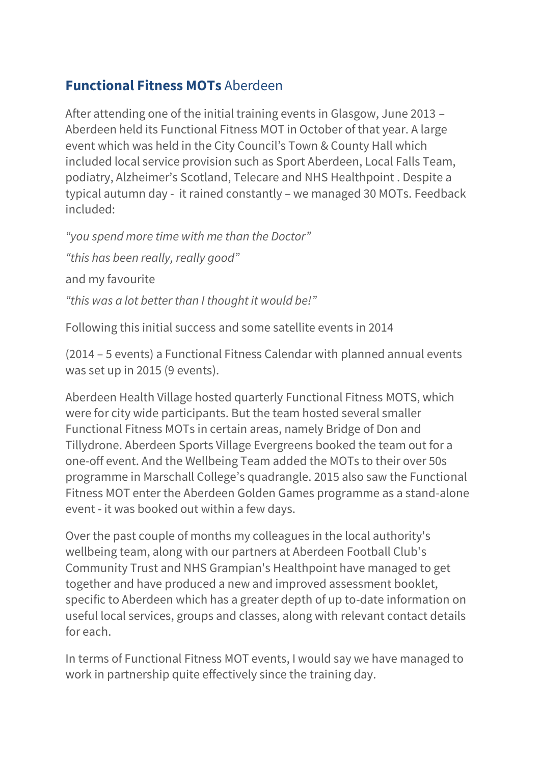## **Functional Fitness MOTs** Aberdeen

After attending one of the initial training events in Glasgow, June 2013 – Aberdeen held its Functional Fitness MOT in October of that year. A large event which was held in the City Council's Town & County Hall which included local service provision such as Sport Aberdeen, Local Falls Team, podiatry, Alzheimer's Scotland, Telecare and NHS Healthpoint . Despite a typical autumn day - it rained constantly – we managed 30 MOTs. Feedback included:

*"you spend more time with me than the Doctor" "this has been really, really good"* and my favourite *"this was a lot better than I thought it would be!"*

Following this initial success and some satellite events in 2014

(2014 – 5 events) a Functional Fitness Calendar with planned annual events was set up in 2015 (9 events).

Aberdeen Health Village hosted quarterly Functional Fitness MOTS, which were for city wide participants. But the team hosted several smaller Functional Fitness MOTs in certain areas, namely Bridge of Don and Tillydrone. Aberdeen Sports Village Evergreens booked the team out for a one-off event. And the Wellbeing Team added the MOTs to their over 50s programme in Marschall College's quadrangle. 2015 also saw the Functional Fitness MOT enter the Aberdeen Golden Games programme as a stand-alone event - it was booked out within a few days.

Over the past couple of months my colleagues in the local authority's wellbeing team, along with our partners at Aberdeen Football Club's Community Trust and NHS Grampian's Healthpoint have managed to get together and have produced a new and improved assessment booklet, specific to Aberdeen which has a greater depth of up to-date information on useful local services, groups and classes, along with relevant contact details for each.

In terms of Functional Fitness MOT events, I would say we have managed to work in partnership quite effectively since the training day.